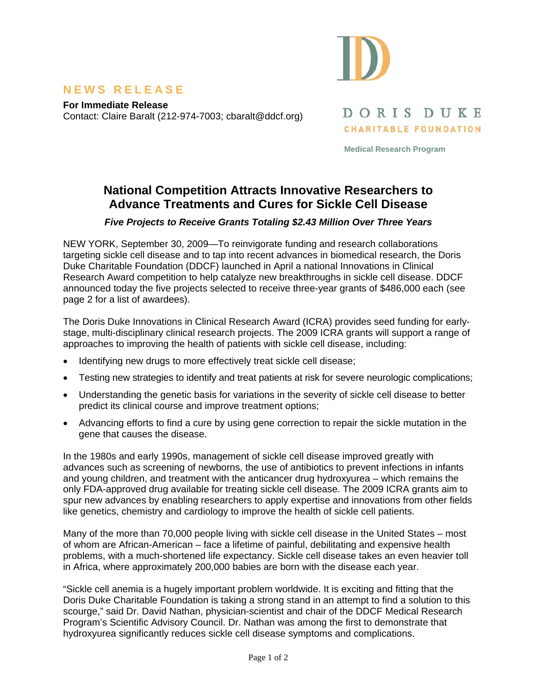

#### **NEWS RELEASE**

**For Immediate Release**  Contact: Claire Baralt (212-974-7003; cbaralt@ddcf.org)

DORIS DUKE **CHARITABLE FOUNDATION** 

**Medical Research Program** 

# **National Competition Attracts Innovative Researchers to Advance Treatments and Cures for Sickle Cell Disease**

*Five Projects to Receive Grants Totaling \$2.43 Million Over Three Years* 

NEW YORK, September 30, 2009—To reinvigorate funding and research collaborations targeting sickle cell disease and to tap into recent advances in biomedical research, the Doris Duke Charitable Foundation (DDCF) launched in April a national Innovations in Clinical Research Award competition to help catalyze new breakthroughs in sickle cell disease. DDCF announced today the five projects selected to receive three-year grants of \$486,000 each (see page 2 for a list of awardees).

The Doris Duke Innovations in Clinical Research Award (ICRA) provides seed funding for earlystage, multi-disciplinary clinical research projects. The 2009 ICRA grants will support a range of approaches to improving the health of patients with sickle cell disease, including:

- Identifying new drugs to more effectively treat sickle cell disease;
- Testing new strategies to identify and treat patients at risk for severe neurologic complications;
- Understanding the genetic basis for variations in the severity of sickle cell disease to better predict its clinical course and improve treatment options;
- Advancing efforts to find a cure by using gene correction to repair the sickle mutation in the gene that causes the disease.

In the 1980s and early 1990s, management of sickle cell disease improved greatly with advances such as screening of newborns, the use of antibiotics to prevent infections in infants and young children, and treatment with the anticancer drug hydroxyurea – which remains the only FDA-approved drug available for treating sickle cell disease. The 2009 ICRA grants aim to spur new advances by enabling researchers to apply expertise and innovations from other fields like genetics, chemistry and cardiology to improve the health of sickle cell patients.

Many of the more than 70,000 people living with sickle cell disease in the United States – most of whom are African-American – face a lifetime of painful, debilitating and expensive health problems, with a much-shortened life expectancy. Sickle cell disease takes an even heavier toll in Africa, where approximately 200,000 babies are born with the disease each year.

"Sickle cell anemia is a hugely important problem worldwide. It is exciting and fitting that the Doris Duke Charitable Foundation is taking a strong stand in an attempt to find a solution to this scourge," said Dr. David Nathan, physician-scientist and chair of the DDCF Medical Research Program's Scientific Advisory Council. Dr. Nathan was among the first to demonstrate that hydroxyurea significantly reduces sickle cell disease symptoms and complications.